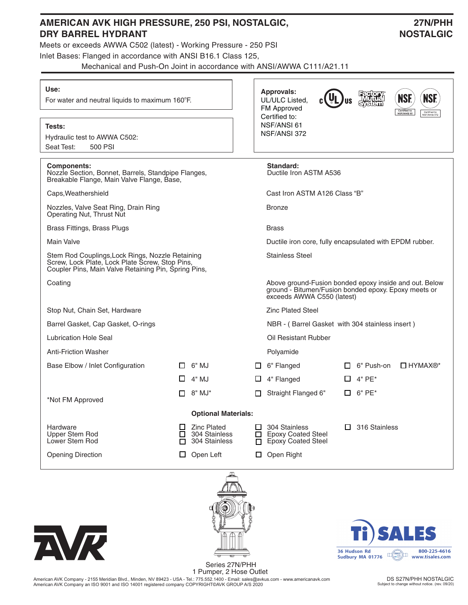| AMERICAN AVK HIGH PRESSURE, 250 PSI, NOSTALGIC,<br><b>DRY BARREL HYDRANT</b>                                                                                | 27N/PHH<br><b>NOSTALGIC</b>                                         |                                                                                                                                                                                  |  |  |  |  |  |
|-------------------------------------------------------------------------------------------------------------------------------------------------------------|---------------------------------------------------------------------|----------------------------------------------------------------------------------------------------------------------------------------------------------------------------------|--|--|--|--|--|
| Meets or exceeds AWWA C502 (latest) - Working Pressure - 250 PSI<br>Inlet Bases: Flanged in accordance with ANSI B16.1 Class 125,                           |                                                                     |                                                                                                                                                                                  |  |  |  |  |  |
|                                                                                                                                                             |                                                                     | Mechanical and Push-On Joint in accordance with ANSI/AWWA C111/A21.11                                                                                                            |  |  |  |  |  |
| Use:<br>For water and neutral liquids to maximum 160°F.                                                                                                     |                                                                     | <b>Approvals:</b><br>Factory<br>"Mutual<br>System"<br><b>NSF.</b><br><b>NSF.</b><br>UL/ULC Listed,<br>FM Approved<br>Certified to<br>NSF/ANSI 61<br>Certified to<br>NSF/ANSI 372 |  |  |  |  |  |
| Tests:<br>Hydraulic test to AWWA C502:<br>500 PSI<br>Seat Test:                                                                                             |                                                                     | Certified to:<br>NSF/ANSI 61<br>NSF/ANSI 372                                                                                                                                     |  |  |  |  |  |
| <b>Components:</b><br>Nozzle Section, Bonnet, Barrels, Standpipe Flanges,<br>Breakable Flange, Main Valve Flange, Base,                                     |                                                                     | Standard:<br>Ductile Iron ASTM A536                                                                                                                                              |  |  |  |  |  |
| Caps, Weathershield                                                                                                                                         |                                                                     | Cast Iron ASTM A126 Class "B"                                                                                                                                                    |  |  |  |  |  |
| Nozzles, Valve Seat Ring, Drain Ring<br>Operating Nut, Thrust Nut                                                                                           |                                                                     | <b>Bronze</b>                                                                                                                                                                    |  |  |  |  |  |
| Brass Fittings, Brass Plugs                                                                                                                                 |                                                                     | <b>Brass</b>                                                                                                                                                                     |  |  |  |  |  |
| <b>Main Valve</b>                                                                                                                                           |                                                                     | Ductile iron core, fully encapsulated with EPDM rubber.                                                                                                                          |  |  |  |  |  |
| Stem Rod Couplings, Lock Rings, Nozzle Retaining<br>Screw, Lock Plate, Lock Plate Screw, Stop Pins,<br>Coupler Pins, Main Valve Retaining Pin, Spring Pins, |                                                                     | <b>Stainless Steel</b>                                                                                                                                                           |  |  |  |  |  |
| Coating                                                                                                                                                     |                                                                     | Above ground-Fusion bonded epoxy inside and out. Below<br>ground - Bitumen/Fusion bonded epoxy. Epoxy meets or<br>exceeds AWWA C550 (latest)                                     |  |  |  |  |  |
| Stop Nut, Chain Set, Hardware                                                                                                                               |                                                                     | <b>Zinc Plated Steel</b>                                                                                                                                                         |  |  |  |  |  |
| Barrel Gasket, Cap Gasket, O-rings                                                                                                                          |                                                                     | NBR - (Barrel Gasket with 304 stainless insert)                                                                                                                                  |  |  |  |  |  |
| Lubrication Hole Seal                                                                                                                                       |                                                                     | Oil Resistant Rubber                                                                                                                                                             |  |  |  |  |  |
| <b>Anti-Friction Washer</b>                                                                                                                                 |                                                                     | Polyamide                                                                                                                                                                        |  |  |  |  |  |
| Base Elbow / Inlet Configuration                                                                                                                            | 6" MJ<br>□                                                          | 6" Flanged<br>6" Push-on<br>$\Box$ HYMAX <sup>®*</sup><br>□                                                                                                                      |  |  |  |  |  |
|                                                                                                                                                             | 4" MJ<br>U                                                          | 4" Flanged<br>4" PE*<br>ப                                                                                                                                                        |  |  |  |  |  |
| *Not FM Approved                                                                                                                                            | 8" MJ*<br>П                                                         | Straight Flanged 6"<br>$6"$ PE $*$<br>П<br>п                                                                                                                                     |  |  |  |  |  |
|                                                                                                                                                             | <b>Optional Materials:</b>                                          |                                                                                                                                                                                  |  |  |  |  |  |
| Hardware<br>Upper Stem Rod<br>Lower Stem Rod                                                                                                                | <b>Zinc Plated</b><br>ப<br>304 Stainless<br>□<br>304 Stainless<br>П | 316 Stainless<br>304 Stainless<br><b>Epoxy Coated Steel</b><br>□<br><b>Epoxy Coated Steel</b><br>П.                                                                              |  |  |  |  |  |
| <b>Opening Direction</b>                                                                                                                                    | Open Left<br>ப                                                      | Open Right<br>$\Box$                                                                                                                                                             |  |  |  |  |  |
|                                                                                                                                                             | $\blacksquare$                                                      |                                                                                                                                                                                  |  |  |  |  |  |







1 Pumper, 2 Hose Outlet American AVK Company - 2155 Meridian Blvd., Minden, NV 89423 - USA - Tel.: 775.552.1400 - Email: sales@avkus.com - www.americanavk.com<br>American AVK Company an ISO 9001 and ISO 14001 registered company COPYRIGHT©AVK GROUP